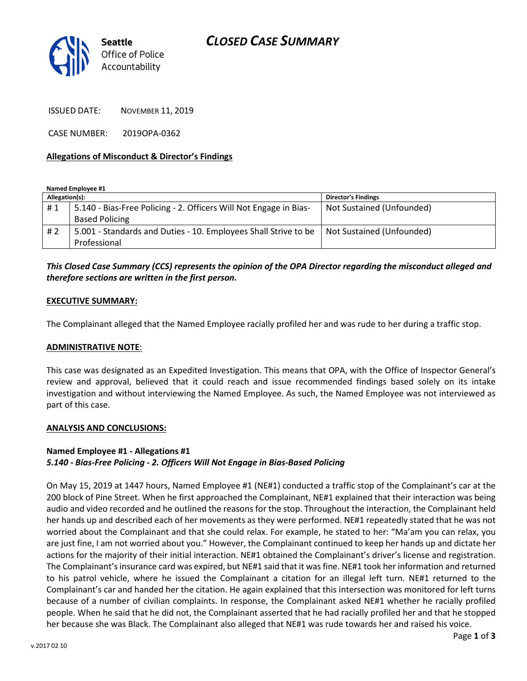



ISSUED DATE: NOVEMBER 11, 2019

CASE NUMBER: 2019OPA-0362

#### Allegations of Misconduct & Director's Findings

Named Employee #1

| Allegation(s): |                                                                   | <b>Director's Findings</b> |
|----------------|-------------------------------------------------------------------|----------------------------|
| #1             | 5.140 - Bias-Free Policing - 2. Officers Will Not Engage in Bias- | Not Sustained (Unfounded)  |
|                | <b>Based Policing</b>                                             |                            |
| #2             | 5.001 - Standards and Duties - 10. Employees Shall Strive to be   | Not Sustained (Unfounded)  |
|                | Professional                                                      |                            |

### This Closed Case Summary (CCS) represents the opinion of the OPA Director regarding the misconduct alleged and therefore sections are written in the first person.

#### EXECUTIVE SUMMARY:

The Complainant alleged that the Named Employee racially profiled her and was rude to her during a traffic stop.

#### ADMINISTRATIVE NOTE:

This case was designated as an Expedited Investigation. This means that OPA, with the Office of Inspector General's review and approval, believed that it could reach and issue recommended findings based solely on its intake investigation and without interviewing the Named Employee. As such, the Named Employee was not interviewed as part of this case.

#### ANALYSIS AND CONCLUSIONS:

# Named Employee #1 - Allegations #1

#### 5.140 - Bias-Free Policing - 2. Officers Will Not Engage in Bias-Based Policing

On May 15, 2019 at 1447 hours, Named Employee #1 (NE#1) conducted a traffic stop of the Complainant's car at the 200 block of Pine Street. When he first approached the Complainant, NE#1 explained that their interaction was being audio and video recorded and he outlined the reasons for the stop. Throughout the interaction, the Complainant held her hands up and described each of her movements as they were performed. NE#1 repeatedly stated that he was not worried about the Complainant and that she could relax. For example, he stated to her: "Ma'am you can relax, you are just fine, I am not worried about you." However, the Complainant continued to keep her hands up and dictate her actions for the majority of their initial interaction. NE#1 obtained the Complainant's driver's license and registration. The Complainant's insurance card was expired, but NE#1 said that it was fine. NE#1 took her information and returned to his patrol vehicle, where he issued the Complainant a citation for an illegal left turn. NE#1 returned to the Complainant's car and handed her the citation. He again explained that this intersection was monitored for left turns because of a number of civilian complaints. In response, the Complainant asked NE#1 whether he racially profiled people. When he said that he did not, the Complainant asserted that he had racially profiled her and that he stopped her because she was Black. The Complainant also alleged that NE#1 was rude towards her and raised his voice.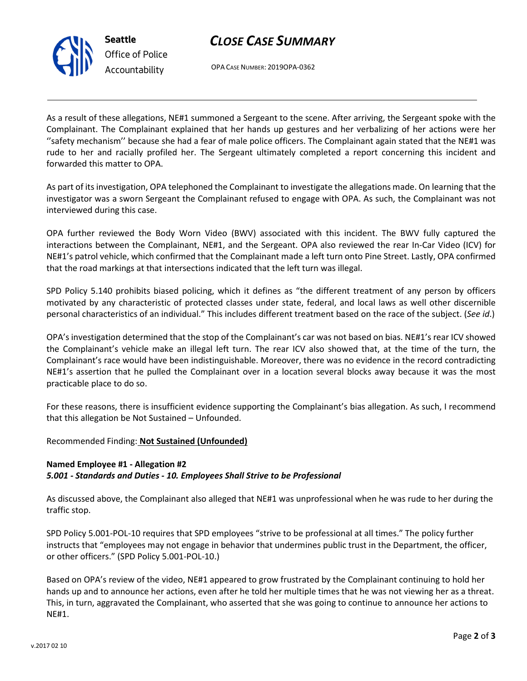# CLOSE CASE SUMMARY



Office of Police Accountability

OPA CASE NUMBER: 2019OPA-0362

As a result of these allegations, NE#1 summoned a Sergeant to the scene. After arriving, the Sergeant spoke with the Complainant. The Complainant explained that her hands up gestures and her verbalizing of her actions were her ''safety mechanism'' because she had a fear of male police officers. The Complainant again stated that the NE#1 was rude to her and racially profiled her. The Sergeant ultimately completed a report concerning this incident and forwarded this matter to OPA.

As part of its investigation, OPA telephoned the Complainant to investigate the allegations made. On learning that the investigator was a sworn Sergeant the Complainant refused to engage with OPA. As such, the Complainant was not interviewed during this case.

OPA further reviewed the Body Worn Video (BWV) associated with this incident. The BWV fully captured the interactions between the Complainant, NE#1, and the Sergeant. OPA also reviewed the rear In-Car Video (ICV) for NE#1's patrol vehicle, which confirmed that the Complainant made a left turn onto Pine Street. Lastly, OPA confirmed that the road markings at that intersections indicated that the left turn was illegal.

SPD Policy 5.140 prohibits biased policing, which it defines as "the different treatment of any person by officers motivated by any characteristic of protected classes under state, federal, and local laws as well other discernible personal characteristics of an individual." This includes different treatment based on the race of the subject. (See id.)

OPA's investigation determined that the stop of the Complainant's car was not based on bias. NE#1's rear ICV showed the Complainant's vehicle make an illegal left turn. The rear ICV also showed that, at the time of the turn, the Complainant's race would have been indistinguishable. Moreover, there was no evidence in the record contradicting NE#1's assertion that he pulled the Complainant over in a location several blocks away because it was the most practicable place to do so.

For these reasons, there is insufficient evidence supporting the Complainant's bias allegation. As such, I recommend that this allegation be Not Sustained – Unfounded.

## Recommended Finding: Not Sustained (Unfounded)

### Named Employee #1 - Allegation #2 5.001 - Standards and Duties - 10. Employees Shall Strive to be Professional

As discussed above, the Complainant also alleged that NE#1 was unprofessional when he was rude to her during the traffic stop.

SPD Policy 5.001-POL-10 requires that SPD employees "strive to be professional at all times." The policy further instructs that "employees may not engage in behavior that undermines public trust in the Department, the officer, or other officers." (SPD Policy 5.001-POL-10.)

Based on OPA's review of the video, NE#1 appeared to grow frustrated by the Complainant continuing to hold her hands up and to announce her actions, even after he told her multiple times that he was not viewing her as a threat. This, in turn, aggravated the Complainant, who asserted that she was going to continue to announce her actions to NE#1.